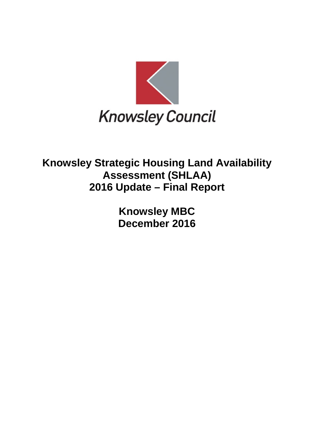

**Knowsley Strategic Housing Land Availability Assessment (SHLAA) 2016 Update – Final Report**

> **Knowsley MBC December 2016**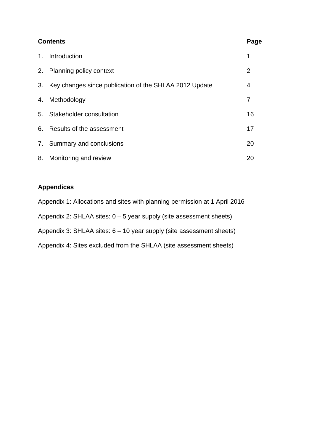|    | <b>Contents</b>                                        | Page           |
|----|--------------------------------------------------------|----------------|
| 1. | Introduction                                           | 1              |
|    | 2. Planning policy context                             | $\overline{2}$ |
| 3. | Key changes since publication of the SHLAA 2012 Update | 4              |
| 4. | Methodology                                            | 7              |
|    | 5. Stakeholder consultation                            | 16             |
|    | 6. Results of the assessment                           | 17             |
|    | 7. Summary and conclusions                             | 20             |
| 8. | Monitoring and review                                  | 20             |

## **Appendices**

| Appendix 1: Allocations and sites with planning permission at 1 April 2016 |
|----------------------------------------------------------------------------|
| Appendix 2: SHLAA sites: $0 - 5$ year supply (site assessment sheets)      |
| Appendix 3: SHLAA sites: $6 - 10$ year supply (site assessment sheets)     |
| Appendix 4: Sites excluded from the SHLAA (site assessment sheets)         |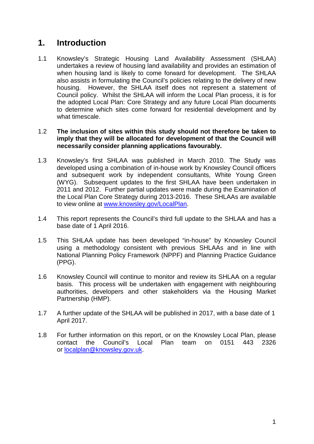## **1. Introduction**

1.1 Knowsley's Strategic Housing Land Availability Assessment (SHLAA) undertakes a review of housing land availability and provides an estimation of when housing land is likely to come forward for development. The SHLAA also assists in formulating the Council's policies relating to the delivery of new housing. However, the SHLAA itself does not represent a statement of Council policy. Whilst the SHLAA will inform the Local Plan process, it is for the adopted Local Plan: Core Strategy and any future Local Plan documents to determine which sites come forward for residential development and by what timescale.

#### 1.2 **The inclusion of sites within this study should not therefore be taken to imply that they will be allocated for development of that the Council will necessarily consider planning applications favourably.**

- 1.3 Knowsley's first SHLAA was published in March 2010. The Study was developed using a combination of in-house work by Knowsley Council officers and subsequent work by independent consultants, White Young Green (WYG). Subsequent updates to the first SHLAA have been undertaken in 2011 and 2012. Further partial updates were made during the Examination of the Local Plan Core Strategy during 2013-2016. These SHLAAs are available to view online at [www.knowsley.gov/LocalPlan.](http://www.knowsley.gov/LocalPlan)
- 1.4 This report represents the Council's third full update to the SHLAA and has a base date of 1 April 2016.
- 1.5 This SHLAA update has been developed "in-house" by Knowsley Council using a methodology consistent with previous SHLAAs and in line with National Planning Policy Framework (NPPF) and Planning Practice Guidance (PPG).
- 1.6 Knowsley Council will continue to monitor and review its SHLAA on a regular basis. This process will be undertaken with engagement with neighbouring authorities, developers and other stakeholders via the Housing Market Partnership (HMP).
- 1.7 A further update of the SHLAA will be published in 2017, with a base date of 1 April 2017.
- 1.8 For further information on this report, or on the Knowsley Local Plan, please contact the Council's Local Plan team on 0151 443 2326 or [localplan@knowsley.gov.uk.](mailto:localplan@knowsley.gov.uk)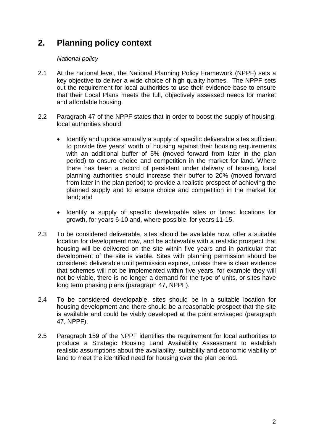## **2. Planning policy context**

#### *National policy*

- 2.1 At the national level, the National Planning Policy Framework (NPPF) sets a key objective to deliver a wide choice of high quality homes. The NPPF sets out the requirement for local authorities to use their evidence base to ensure that their Local Plans meets the full, objectively assessed needs for market and affordable housing.
- 2.2 Paragraph 47 of the NPPF states that in order to boost the supply of housing, local authorities should:
	- Identify and update annually a supply of specific deliverable sites sufficient to provide five years' worth of housing against their housing requirements with an additional buffer of 5% (moved forward from later in the plan period) to ensure choice and competition in the market for land. Where there has been a record of persistent under delivery of housing, local planning authorities should increase their buffer to 20% (moved forward from later in the plan period) to provide a realistic prospect of achieving the planned supply and to ensure choice and competition in the market for land; and
	- Identify a supply of specific developable sites or broad locations for growth, for years 6-10 and, where possible, for years 11-15.
- 2.3 To be considered deliverable, sites should be available now, offer a suitable location for development now, and be achievable with a realistic prospect that housing will be delivered on the site within five years and in particular that development of the site is viable. Sites with planning permission should be considered deliverable until permission expires, unless there is clear evidence that schemes will not be implemented within five years, for example they will not be viable, there is no longer a demand for the type of units, or sites have long term phasing plans (paragraph 47, NPPF).
- 2.4 To be considered developable, sites should be in a suitable location for housing development and there should be a reasonable prospect that the site is available and could be viably developed at the point envisaged (paragraph 47, NPPF).
- 2.5 Paragraph 159 of the NPPF identifies the requirement for local authorities to produce a Strategic Housing Land Availability Assessment to establish realistic assumptions about the availability, suitability and economic viability of land to meet the identified need for housing over the plan period.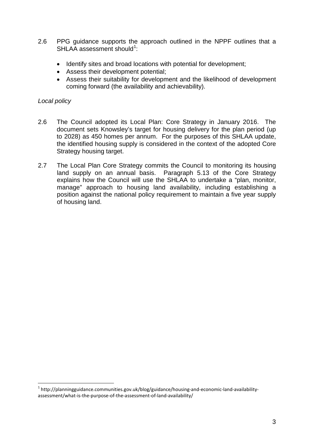- 2.6 PPG guidance supports the approach outlined in the NPPF outlines that a SHLAA assessment should<sup>[1](#page-4-0)</sup>:
	- Identify sites and broad locations with potential for development;
	- Assess their development potential;
	- Assess their suitability for development and the likelihood of development coming forward (the availability and achievability).

#### *Local policy*

- 2.6 The Council adopted its Local Plan: Core Strategy in January 2016. The document sets Knowsley's target for housing delivery for the plan period (up to 2028) as 450 homes per annum. For the purposes of this SHLAA update, the identified housing supply is considered in the context of the adopted Core Strategy housing target.
- 2.7 The Local Plan Core Strategy commits the Council to monitoring its housing land supply on an annual basis. Paragraph 5.13 of the Core Strategy explains how the Council will use the SHLAA to undertake a "plan, monitor, manage" approach to housing land availability, including establishing a position against the national policy requirement to maintain a five year supply of housing land.

<span id="page-4-0"></span><sup>&</sup>lt;sup>1</sup> http://planningguidance.communities.gov.uk/blog/guidance/housing-and-economic-land-availabilityassessment/what-is-the-purpose-of-the-assessment-of-land-availability/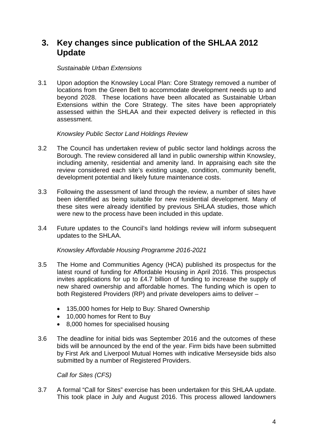## **3. Key changes since publication of the SHLAA 2012 Update**

#### *Sustainable Urban Extensions*

3.1 Upon adoption the Knowsley Local Plan: Core Strategy removed a number of locations from the Green Belt to accommodate development needs up to and beyond 2028. These locations have been allocated as Sustainable Urban Extensions within the Core Strategy. The sites have been appropriately assessed within the SHLAA and their expected delivery is reflected in this assessment.

#### *Knowsley Public Sector Land Holdings Review*

- 3.2 The Council has undertaken review of public sector land holdings across the Borough. The review considered all land in public ownership within Knowsley, including amenity, residential and amenity land. In appraising each site the review considered each site's existing usage, condition, community benefit, development potential and likely future maintenance costs.
- 3.3 Following the assessment of land through the review, a number of sites have been identified as being suitable for new residential development. Many of these sites were already identified by previous SHLAA studies, those which were new to the process have been included in this update.
- 3.4 Future updates to the Council's land holdings review will inform subsequent updates to the SHLAA.

*Knowsley Affordable Housing Programme 2016-2021*

- 3.5 The Home and Communities Agency (HCA) published its prospectus for the latest round of funding for Affordable Housing in April 2016. This prospectus invites applications for up to £4.7 billion of funding to increase the supply of new shared ownership and affordable homes. The funding which is open to both Registered Providers (RP) and private developers aims to deliver –
	- 135,000 homes for Help to Buy: Shared Ownership
	- 10,000 homes for Rent to Buy
	- 8,000 homes for specialised housing
- 3.6 The deadline for initial bids was September 2016 and the outcomes of these bids will be announced by the end of the year. Firm bids have been submitted by First Ark and Liverpool Mutual Homes with indicative Merseyside bids also submitted by a number of Registered Providers.

*Call for Sites (CFS)*

3.7 A formal "Call for Sites" exercise has been undertaken for this SHLAA update. This took place in July and August 2016. This process allowed landowners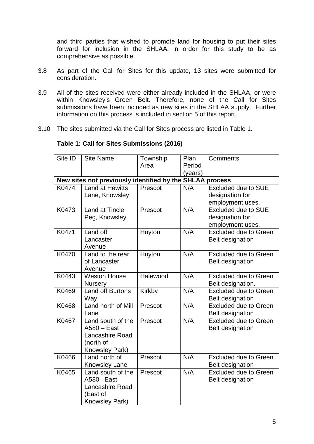and third parties that wished to promote land for housing to put their sites forward for inclusion in the SHLAA, in order for this study to be as comprehensive as possible.

- 3.8 As part of the Call for Sites for this update, 13 sites were submitted for consideration.
- 3.9 All of the sites received were either already included in the SHLAA, or were within Knowsley's Green Belt. Therefore, none of the Call for Sites submissions have been included as new sites in the SHLAA supply. Further information on this process is included in section 5 of this report.
- 3.10 The sites submitted via the Call for Sites process are listed in Table 1.

| Site ID | <b>Site Name</b>                                         | Township | Plan    | Comments                     |  |  |
|---------|----------------------------------------------------------|----------|---------|------------------------------|--|--|
|         |                                                          | Area     | Period  |                              |  |  |
|         |                                                          |          | (years) |                              |  |  |
|         | New sites not previously identified by the SHLAA process |          |         |                              |  |  |
| K0474   | Land at Hewitts                                          | Prescot  | N/A     | <b>Excluded due to SUE</b>   |  |  |
|         | Lane, Knowsley                                           |          |         | designation for              |  |  |
|         |                                                          |          |         | employment uses.             |  |  |
| K0473   | Land at Tincle                                           | Prescot  | N/A     | <b>Excluded due to SUE</b>   |  |  |
|         | Peg, Knowsley                                            |          |         | designation for              |  |  |
|         |                                                          |          |         | employment uses.             |  |  |
| K0471   | Land off                                                 | Huyton   | N/A     | <b>Excluded due to Green</b> |  |  |
|         | Lancaster                                                |          |         | Belt designation             |  |  |
|         | Avenue                                                   |          |         |                              |  |  |
| K0470   | Land to the rear                                         | Huyton   | N/A     | <b>Excluded due to Green</b> |  |  |
|         | of Lancaster                                             |          |         | Belt designation             |  |  |
|         | Avenue                                                   |          |         |                              |  |  |
| K0443   | <b>Weston House</b>                                      | Halewood | N/A     | <b>Excluded due to Green</b> |  |  |
|         | Nursery                                                  |          |         | Belt designation.            |  |  |
| K0469   | Land off Burtons                                         | Kirkby   | N/A     | <b>Excluded due to Green</b> |  |  |
|         | Way                                                      |          |         | Belt designation             |  |  |
| K0468   | Land north of Mill                                       | Prescot  | N/A     | <b>Excluded due to Green</b> |  |  |
|         | Lane                                                     |          |         | Belt designation             |  |  |
| K0467   | Land south of the                                        | Prescot  | N/A     | <b>Excluded due to Green</b> |  |  |
|         | $A580 - East$                                            |          |         | Belt designation             |  |  |
|         | Lancashire Road                                          |          |         |                              |  |  |
|         | (north of                                                |          |         |                              |  |  |
|         | Knowsley Park)                                           |          |         |                              |  |  |
| K0466   | Land north of                                            | Prescot  | N/A     | <b>Excluded due to Green</b> |  |  |
|         | <b>Knowsley Lane</b>                                     |          |         | Belt designation             |  |  |
| K0465   | Land south of the                                        | Prescot  | N/A     | <b>Excluded due to Green</b> |  |  |
|         | A580-East                                                |          |         | Belt designation             |  |  |
|         | Lancashire Road                                          |          |         |                              |  |  |
|         | (East of                                                 |          |         |                              |  |  |
|         | Knowsley Park)                                           |          |         |                              |  |  |

#### **Table 1: Call for Sites Submissions (2016)**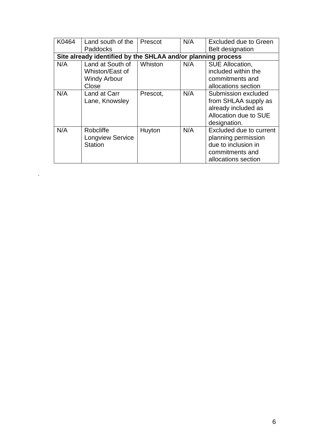| K0464                              | Land south of the                                             | Prescot  | N/A | <b>Excluded due to Green</b>                                                                                    |  |  |
|------------------------------------|---------------------------------------------------------------|----------|-----|-----------------------------------------------------------------------------------------------------------------|--|--|
|                                    | Paddocks                                                      |          |     | <b>Belt designation</b>                                                                                         |  |  |
|                                    | Site already identified by the SHLAA and/or planning process  |          |     |                                                                                                                 |  |  |
| Land at South of<br>Whiston<br>N/A |                                                               |          | N/A | SUE Allocation,                                                                                                 |  |  |
|                                    | Whiston/East of                                               |          |     | included within the                                                                                             |  |  |
|                                    | <b>Windy Arbour</b>                                           |          |     | commitments and                                                                                                 |  |  |
|                                    | Close                                                         |          |     | allocations section                                                                                             |  |  |
| N/A                                | Land at Carr<br>Lane, Knowsley                                | Prescot. | N/A | Submission excluded<br>from SHLAA supply as<br>already included as<br>Allocation due to SUE<br>designation.     |  |  |
| N/A                                | <b>Robcliffe</b><br><b>Longview Service</b><br><b>Station</b> | Huyton   | N/A | Excluded due to current<br>planning permission<br>due to inclusion in<br>commitments and<br>allocations section |  |  |

.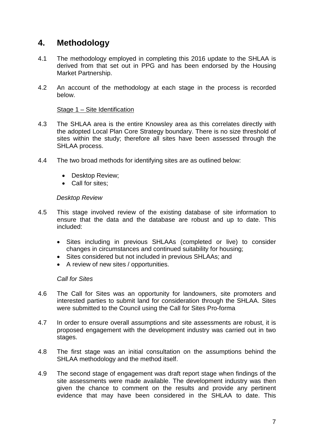## **4. Methodology**

- 4.1 The methodology employed in completing this 2016 update to the SHLAA is derived from that set out in PPG and has been endorsed by the Housing Market Partnership.
- 4.2 An account of the methodology at each stage in the process is recorded below.

#### Stage 1 - Site Identification

- 4.3 The SHLAA area is the entire Knowsley area as this correlates directly with the adopted Local Plan Core Strategy boundary. There is no size threshold of sites within the study; therefore all sites have been assessed through the SHLAA process.
- 4.4 The two broad methods for identifying sites are as outlined below:
	- Desktop Review;
	- Call for sites:

#### *Desktop Review*

- 4.5 This stage involved review of the existing database of site information to ensure that the data and the database are robust and up to date. This included:
	- Sites including in previous SHLAAs (completed or live) to consider changes in circumstances and continued suitability for housing;
	- Sites considered but not included in previous SHLAAs; and
	- A review of new sites / opportunities.

#### *Call for Sites*

- 4.6 The Call for Sites was an opportunity for landowners, site promoters and interested parties to submit land for consideration through the SHLAA. Sites were submitted to the Council using the Call for Sites Pro-forma
- 4.7 In order to ensure overall assumptions and site assessments are robust, it is proposed engagement with the development industry was carried out in two stages.
- 4.8 The first stage was an initial consultation on the assumptions behind the SHLAA methodology and the method itself.
- 4.9 The second stage of engagement was draft report stage when findings of the site assessments were made available. The development industry was then given the chance to comment on the results and provide any pertinent evidence that may have been considered in the SHLAA to date. This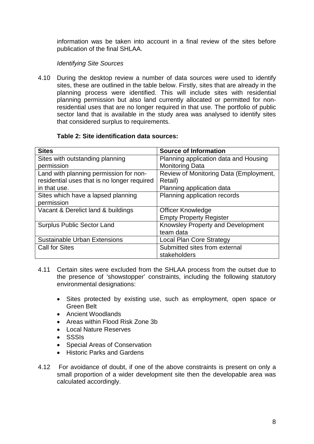information was be taken into account in a final review of the sites before publication of the final SHLAA.

*Identifying Site Sources*

4.10 During the desktop review a number of data sources were used to identify sites, these are outlined in the table below. Firstly, sites that are already in the planning process were identified. This will include sites with residential planning permission but also land currently allocated or permitted for nonresidential uses that are no longer required in that use. The portfolio of public sector land that is available in the study area was analysed to identify sites that considered surplus to requirements.

#### **Table 2: Site identification data sources:**

| <b>Sites</b>                                | <b>Source of Information</b>           |
|---------------------------------------------|----------------------------------------|
| Sites with outstanding planning             | Planning application data and Housing  |
| permission                                  | <b>Monitoring Data</b>                 |
| Land with planning permission for non-      | Review of Monitoring Data (Employment, |
| residential uses that is no longer required | Retail)                                |
| in that use.                                | Planning application data              |
| Sites which have a lapsed planning          | Planning application records           |
| permission                                  |                                        |
| Vacant & Derelict land & buildings          | <b>Officer Knowledge</b>               |
|                                             | <b>Empty Property Register</b>         |
| <b>Surplus Public Sector Land</b>           | Knowsley Property and Development      |
|                                             | team data                              |
| <b>Sustainable Urban Extensions</b>         | <b>Local Plan Core Strategy</b>        |
| <b>Call for Sites</b>                       | Submitted sites from external          |
|                                             | stakeholders                           |

- 4.11 Certain sites were excluded from the SHLAA process from the outset due to the presence of 'showstopper' constraints, including the following statutory environmental designations:
	- Sites protected by existing use, such as employment, open space or Green Belt
	- Ancient Woodlands
	- Areas within Flood Risk Zone 3b
	- Local Nature Reserves
	- SSSIs
	- Special Areas of Conservation
	- Historic Parks and Gardens
- 4.12 For avoidance of doubt, if one of the above constraints is present on only a small proportion of a wider development site then the developable area was calculated accordingly.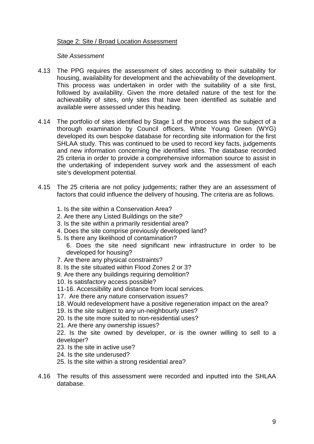#### Stage 2: Site / Broad Location Assessment

#### *Site Assessment*

- 4.13 The PPG requires the assessment of sites according to their suitability for housing, availability for development and the achievability of the development. This process was undertaken in order with the suitability of a site first, followed by availability. Given the more detailed nature of the test for the achievability of sites, only sites that have been identified as suitable and available were assessed under this heading.
- 4.14 The portfolio of sites identified by Stage 1 of the process was the subject of a thorough examination by Council officers. White Young Green (WYG) developed its own bespoke database for recording site information for the first SHLAA study. This was continued to be used to record key facts, judgements and new information concerning the identified sites. The database recorded 25 criteria in order to provide a comprehensive information source to assist in the undertaking of independent survey work and the assessment of each site's development potential.
- 4.15 The 25 criteria are not policy judgements; rather they are an assessment of factors that could influence the delivery of housing. The criteria are as follows.
	- 1. Is the site within a Conservation Area?
	- 2. Are there any Listed Buildings on the site?
	- 3. Is the site within a primarily residential area?
	- 4. Does the site comprise previously developed land?
	- 5. Is there any likelihood of contamination?
		- 6. Does the site need significant new infrastructure in order to be developed for housing?
	- 7. Are there any physical constraints?
	- 8. Is the site situated within Flood Zones 2 or 3?
	- 9. Are there any buildings requiring demolition?
	- 10. Is satisfactory access possible?
	- 11-16. Accessibility and distance from local services.
	- 17. Are there any nature conservation issues?
	- 18. Would redevelopment have a positive regeneration impact on the area?
	- 19. Is the site subject to any un-neighbourly uses?
	- 20. Is the site more suited to non-residential uses?
	- 21. Are there any ownership issues?

22. Is the site owned by developer, or is the owner willing to sell to a developer?

- 23. Is the site in active use?
- 24. Is the site underused?
- 25. Is the site within a strong residential area?
- 4.16 The results of this assessment were recorded and inputted into the SHLAA database.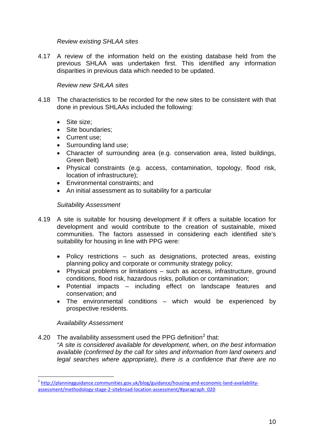*Review existing SHLAA sites*

4.17 A review of the information held on the existing database held from the previous SHLAA was undertaken first. This identified any information disparities in previous data which needed to be updated.

#### *Review new SHLAA sites*

- 4.18 The characteristics to be recorded for the new sites to be consistent with that done in previous SHLAAs included the following:
	- Site size:
	- Site boundaries;
	- Current use;
	- Surrounding land use;
	- Character of surrounding area (e.g. conservation area, listed buildings, Green Belt)
	- Physical constraints (e.g. access, contamination, topology, flood risk, location of infrastructure);
	- Environmental constraints; and
	- An initial assessment as to suitability for a particular

#### *Suitability Assessment*

- 4.19 A site is suitable for housing development if it offers a suitable location for development and would contribute to the creation of sustainable, mixed communities. The factors assessed in considering each identified site's suitability for housing in line with PPG were:
	- Policy restrictions such as designations, protected areas, existing planning policy and corporate or community strategy policy;
	- Physical problems or limitations such as access, infrastructure, ground conditions, flood risk, hazardous risks, pollution or contamination;
	- Potential impacts including effect on landscape features and conservation; and
	- The environmental conditions which would be experienced by prospective residents.

#### *Availability Assessment*

4.[2](#page-11-0)0 The availability assessment used the PPG definition $2$  that: *"A site is considered available for development, when, on the best information available (confirmed by the call for sites and information from land owners and legal searches where appropriate), there is a confidence that there are no* 

<span id="page-11-0"></span><sup>&</sup>lt;sup>2</sup> [http://planningguidance.communities.gov.uk/blog/guidance/housing-and-economic-land-availability](http://planningguidance.communities.gov.uk/blog/guidance/housing-and-economic-land-availability-assessment/methodology-stage-2-sitebroad-location-assessment/#paragraph_020)[assessment/methodology-stage-2-sitebroad-location-assessment/#paragraph\\_020](http://planningguidance.communities.gov.uk/blog/guidance/housing-and-economic-land-availability-assessment/methodology-stage-2-sitebroad-location-assessment/#paragraph_020)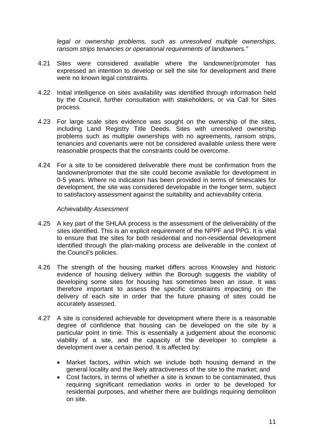*legal or ownership problems, such as unresolved multiple ownerships, ransom strips tenancies or operational requirements of landowners."*

- 4.21 Sites were considered available where the landowner/promoter has expressed an intention to develop or sell the site for development and there were no known legal constraints.
- 4.22 Initial intelligence on sites availability was identified through information held by the Council, further consultation with stakeholders, or via Call for Sites process.
- 4.23 For large scale sites evidence was sought on the ownership of the sites, including Land Registry Title Deeds. Sites with unresolved ownership problems such as multiple ownerships with no agreements, ransom strips, tenancies and covenants were not be considered available unless there were reasonable prospects that the constraints could be overcome.
- 4.24 For a site to be considered deliverable there must be confirmation from the landowner/promoter that the site could become available for development in 0-5 years. Where no indication has been provided in terms of timescales for development, the site was considered developable in the longer term, subject to satisfactory assessment against the suitability and achievability criteria.

#### *Achievability Assessment*

- 4.25 A key part of the SHLAA process is the assessment of the deliverability of the sites identified. This is an explicit requirement of the NPPF and PPG. It is vital to ensure that the sites for both residential and non-residential development identified through the plan-making process are deliverable in the context of the Council's policies.
- 4.26 The strength of the housing market differs across Knowsley and historic evidence of housing delivery within the Borough suggests the viability of developing some sites for housing has sometimes been an issue. It was therefore important to assess the specific constraints impacting on the delivery of each site in order that the future phasing of sites could be accurately assessed.
- 4.27 A site is considered achievable for development where there is a reasonable degree of confidence that housing can be developed on the site by a particular point in time. This is essentially a judgement about the economic viability of a site, and the capacity of the developer to complete a development over a certain period. It is affected by:
	- Market factors, within which we include both housing demand in the general locality and the likely attractiveness of the site to the market; and
	- Cost factors, in terms of whether a site is known to be contaminated, thus requiring significant remediation works in order to be developed for residential purposes, and whether there are buildings requiring demolition on site.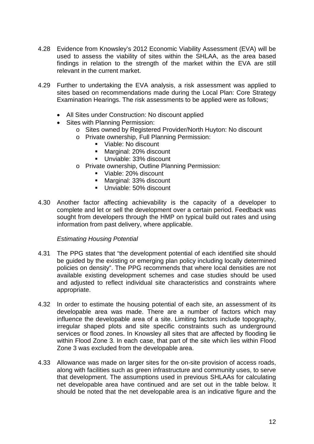- 4.28 Evidence from Knowsley's 2012 Economic Viability Assessment (EVA) will be used to assess the viability of sites within the SHLAA, as the area based findings in relation to the strength of the market within the EVA are still relevant in the current market.
- 4.29 Further to undertaking the EVA analysis, a risk assessment was applied to sites based on recommendations made during the Local Plan: Core Strategy Examination Hearings. The risk assessments to be applied were as follows;
	- All Sites under Construction: No discount applied
	- Sites with Planning Permission:
		- o Sites owned by Registered Provider/North Huyton: No discount
		- o Private ownership, Full Planning Permission:
			- **Viable: No discount**
			- **Marginal: 20% discount**
			- Unviable: 33% discount
		- o Private ownership, Outline Planning Permission:
			- **Viable: 20% discount**
			- Marginal: 33% discount
			- Unviable: 50% discount
- 4.30 Another factor affecting achievability is the capacity of a developer to complete and let or sell the development over a certain period. Feedback was sought from developers through the HMP on typical build out rates and using information from past delivery, where applicable.

#### *Estimating Housing Potential*

- 4.31 The PPG states that "the development potential of each identified site should be guided by the existing or emerging plan policy including locally determined policies on density". The PPG recommends that where local densities are not available existing development schemes and case studies should be used and adjusted to reflect individual site characteristics and constraints where appropriate.
- 4.32 In order to estimate the housing potential of each site, an assessment of its developable area was made. There are a number of factors which may influence the developable area of a site. Limiting factors include topography, irregular shaped plots and site specific constraints such as underground services or flood zones. In Knowsley all sites that are affected by flooding lie within Flood Zone 3. In each case, that part of the site which lies within Flood Zone 3 was excluded from the developable area.
- 4.33 Allowance was made on larger sites for the on-site provision of access roads, along with facilities such as green infrastructure and community uses, to serve that development. The assumptions used in previous SHLAAs for calculating net developable area have continued and are set out in the table below. It should be noted that the net developable area is an indicative figure and the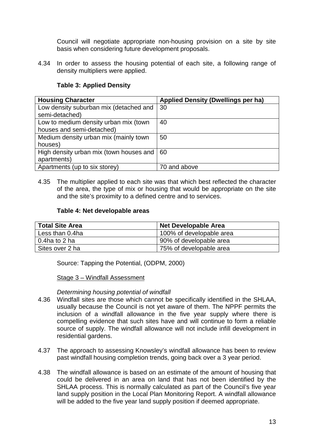Council will negotiate appropriate non-housing provision on a site by site basis when considering future development proposals.

4.34 In order to assess the housing potential of each site, a following range of density multipliers were applied.

| <b>Housing Character</b>                | <b>Applied Density (Dwellings per ha)</b> |
|-----------------------------------------|-------------------------------------------|
| Low density suburban mix (detached and  | 30                                        |
| semi-detached)                          |                                           |
| Low to medium density urban mix (town   | 40                                        |
| houses and semi-detached)               |                                           |
| Medium density urban mix (mainly town   | 50                                        |
| houses)                                 |                                           |
| High density urban mix (town houses and | 60                                        |
| apartments)                             |                                           |
| Apartments (up to six storey)           | 70 and above                              |

#### **Table 3: Applied Density**

4.35 The multiplier applied to each site was that which best reflected the character of the area, the type of mix or housing that would be appropriate on the site and the site's proximity to a defined centre and to services.

#### **Table 4: Net developable areas**

| <b>Total Site Area</b> | <b>Net Developable Area</b> |
|------------------------|-----------------------------|
| Less than 0.4ha        | 100% of developable area    |
| 0.4ha to 2 ha          | 90% of developable area     |
| Sites over 2 ha        | 75% of developable area     |

Source: Tapping the Potential, (ODPM, 2000)

Stage 3 – Windfall Assessment

*Determining housing potential of windfall*

- 4.36 Windfall sites are those which cannot be specifically identified in the SHLAA, usually because the Council is not yet aware of them. The NPPF permits the inclusion of a windfall allowance in the five year supply where there is compelling evidence that such sites have and will continue to form a reliable source of supply. The windfall allowance will not include infill development in residential gardens.
- 4.37 The approach to assessing Knowsley's windfall allowance has been to review past windfall housing completion trends, going back over a 3 year period.
- 4.38 The windfall allowance is based on an estimate of the amount of housing that could be delivered in an area on land that has not been identified by the SHLAA process. This is normally calculated as part of the Council's five year land supply position in the Local Plan Monitoring Report. A windfall allowance will be added to the five year land supply position if deemed appropriate.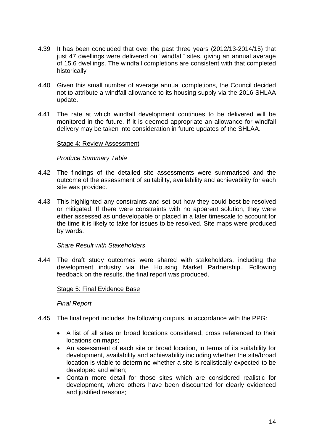- 4.39 It has been concluded that over the past three years (2012/13-2014/15) that just 47 dwellings were delivered on "windfall" sites, giving an annual average of 15.6 dwellings. The windfall completions are consistent with that completed historically
- 4.40 Given this small number of average annual completions, the Council decided not to attribute a windfall allowance to its housing supply via the 2016 SHLAA update.
- 4.41 The rate at which windfall development continues to be delivered will be monitored in the future. If it is deemed appropriate an allowance for windfall delivery may be taken into consideration in future updates of the SHLAA.

#### Stage 4: Review Assessment

#### *Produce Summary Table*

- 4.42 The findings of the detailed site assessments were summarised and the outcome of the assessment of suitability, availability and achievability for each site was provided.
- 4.43 This highlighted any constraints and set out how they could best be resolved or mitigated. If there were constraints with no apparent solution, they were either assessed as undevelopable or placed in a later timescale to account for the time it is likely to take for issues to be resolved. Site maps were produced by wards.

#### *Share Result with Stakeholders*

4.44 The draft study outcomes were shared with stakeholders, including the development industry via the Housing Market Partnership.. Following feedback on the results, the final report was produced.

#### Stage 5: Final Evidence Base

#### *Final Report*

- 4.45 The final report includes the following outputs, in accordance with the PPG:
	- A list of all sites or broad locations considered, cross referenced to their locations on maps;
	- An assessment of each site or broad location, in terms of its suitability for development, availability and achievability including whether the site/broad location is viable to determine whether a site is realistically expected to be developed and when;
	- Contain more detail for those sites which are considered realistic for development, where others have been discounted for clearly evidenced and justified reasons;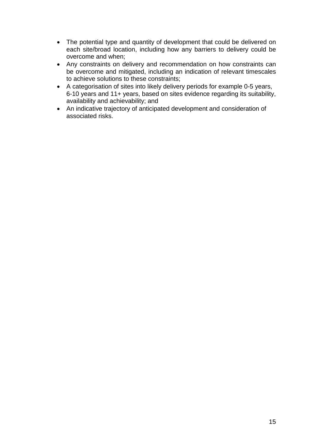- The potential type and quantity of development that could be delivered on each site/broad location, including how any barriers to delivery could be overcome and when;
- Any constraints on delivery and recommendation on how constraints can be overcome and mitigated, including an indication of relevant timescales to achieve solutions to these constraints;
- A categorisation of sites into likely delivery periods for example 0-5 years, 6-10 years and 11+ years, based on sites evidence regarding its suitability, availability and achievability; and
- An indicative trajectory of anticipated development and consideration of associated risks.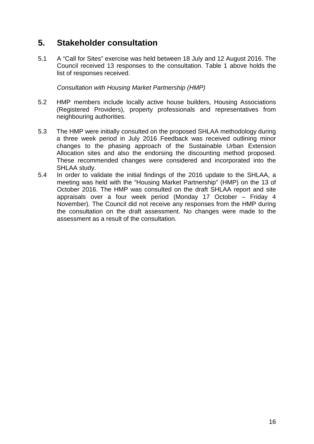## **5. Stakeholder consultation**

5.1 A "Call for Sites" exercise was held between 18 July and 12 August 2016. The Council received 13 responses to the consultation. Table 1 above holds the list of responses received.

*Consultation with Housing Market Partnership (HMP)*

- 5.2 HMP members include locally active house builders, Housing Associations (Registered Providers), property professionals and representatives from neighbouring authorities.
- 5.3 The HMP were initially consulted on the proposed SHLAA methodology during a three week period in July 2016 Feedback was received outlining minor changes to the phasing approach of the Sustainable Urban Extension Allocation sites and also the endorsing the discounting method proposed. These recommended changes were considered and incorporated into the SHLAA study.
- 5.4 In order to validate the initial findings of the 2016 update to the SHLAA, a meeting was held with the "Housing Market Partnership" (HMP) on the 13 of October 2016. The HMP was consulted on the draft SHLAA report and site appraisals over a four week period (Monday 17 October – Friday 4 November). The Council did not receive any responses from the HMP during the consultation on the draft assessment. No changes were made to the assessment as a result of the consultation.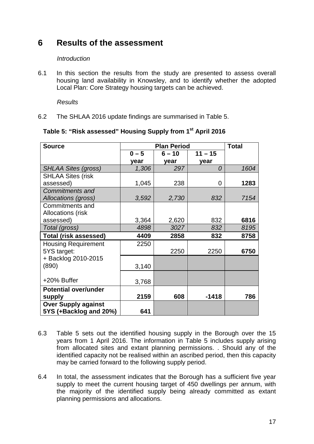## **6 Results of the assessment**

#### *Introduction*

6.1 In this section the results from the study are presented to assess overall housing land availability in Knowsley, and to identify whether the adopted Local Plan: Core Strategy housing targets can be achieved.

*Results*

6.2 The SHLAA 2016 update findings are summarised in Table 5.

| <b>Source</b>                | <b>Plan Period</b> |          |           | <b>Total</b> |
|------------------------------|--------------------|----------|-----------|--------------|
|                              | $0 - 5$            | $6 - 10$ | $11 - 15$ |              |
|                              | year               | year     | year      |              |
| <b>SHLAA Sites (gross)</b>   | 1,306              | 297      | $\Omega$  | 1604         |
| <b>SHLAA Sites (risk</b>     |                    |          |           |              |
| assessed)                    | 1,045              | 238      | 0         | 1283         |
| <b>Commitments and</b>       |                    |          |           |              |
| Allocations (gross)          | 3,592              | 2,730    | 832       | 7154         |
| Commitments and              |                    |          |           |              |
| <b>Allocations (risk)</b>    |                    |          |           |              |
| assessed)                    | 3,364              | 2,620    | 832       | 6816         |
| Total (gross)                | 4898               | 3027     | 832       | 8195         |
| <b>Total (risk assessed)</b> | 4409               | 2858     | 832       | 8758         |
| <b>Housing Requirement</b>   | 2250               |          |           |              |
| 5YS target:                  |                    | 2250     | 2250      | 6750         |
| + Backlog 2010-2015          |                    |          |           |              |
| (890)                        | 3,140              |          |           |              |
|                              |                    |          |           |              |
| +20% Buffer                  | 3,768              |          |           |              |
| <b>Potential over/under</b>  |                    |          |           |              |
| supply                       | 2159               | 608      | $-1418$   | 786          |
| <b>Over Supply against</b>   |                    |          |           |              |
| 5YS (+Backlog and 20%)       | 641                |          |           |              |

#### **Table 5: "Risk assessed" Housing Supply from 1st April 2016**

- 6.3 Table 5 sets out the identified housing supply in the Borough over the 15 years from 1 April 2016. The information in Table 5 includes supply arising from allocated sites and extant planning permissions. . Should any of the identified capacity not be realised within an ascribed period, then this capacity may be carried forward to the following supply period.
- 6.4 In total, the assessment indicates that the Borough has a sufficient five year supply to meet the current housing target of 450 dwellings per annum, with the majority of the identified supply being already committed as extant planning permissions and allocations.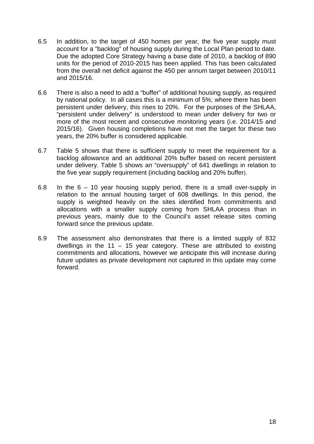- 6.5 In addition, to the target of 450 homes per year, the five year supply must account for a "backlog" of housing supply during the Local Plan period to date. Due the adopted Core Strategy having a base date of 2010, a backlog of 890 units for the period of 2010-2015 has been applied. This has been calculated from the overall net deficit against the 450 per annum target between 2010/11 and 2015/16.
- 6.6 There is also a need to add a "buffer" of additional housing supply, as required by national policy. In all cases this is a minimum of 5%; where there has been persistent under delivery, this rises to 20%. For the purposes of the SHLAA, "persistent under delivery" is understood to mean under delivery for two or more of the most recent and consecutive monitoring years (i.e. 2014/15 and 2015/16). Given housing completions have not met the target for these two years, the 20% buffer is considered applicable.
- 6.7 Table 5 shows that there is sufficient supply to meet the requirement for a backlog allowance and an additional 20% buffer based on recent persistent under delivery. Table 5 shows an "oversupply" of 641 dwellings in relation to the five year supply requirement (including backlog and 20% buffer).
- 6.8 In the 6 10 year housing supply period, there is a small over-supply in relation to the annual housing target of 608 dwellings. In this period, the supply is weighted heavily on the sites identified from commitments and allocations with a smaller supply coming from SHLAA process than in previous years, mainly due to the Council's asset release sites coming forward since the previous update.
- 6.9 The assessment also demonstrates that there is a limited supply of 832 dwellings in the 11 – 15 year category. These are attributed to existing commitments and allocations, however we anticipate this will increase during future updates as private development not captured in this update may come forward.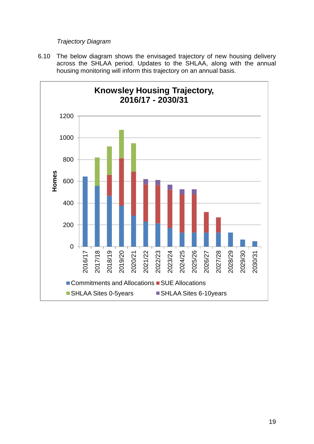#### *Trajectory Diagram*

6.10 The below diagram shows the envisaged trajectory of new housing delivery across the SHLAA period. Updates to the SHLAA, along with the annual housing monitoring will inform this trajectory on an annual basis.

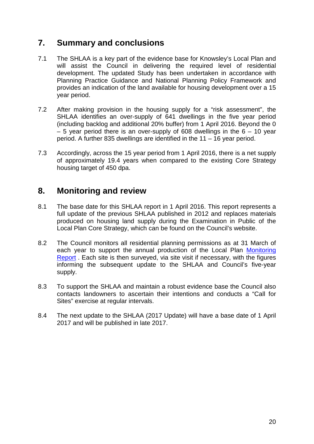## **7. Summary and conclusions**

- 7.1 The SHLAA is a key part of the evidence base for Knowsley's Local Plan and will assist the Council in delivering the required level of residential development. The updated Study has been undertaken in accordance with Planning Practice Guidance and National Planning Policy Framework and provides an indication of the land available for housing development over a 15 year period.
- 7.2 After making provision in the housing supply for a "risk assessment", the SHLAA identifies an over-supply of 641 dwellings in the five year period (including backlog and additional 20% buffer) from 1 April 2016. Beyond the 0  $-5$  vear period there is an over-supply of 608 dwellings in the  $6 - 10$  year period. A further 835 dwellings are identified in the 11 – 16 year period.
- 7.3 Accordingly, across the 15 year period from 1 April 2016, there is a net supply of approximately 19.4 years when compared to the existing Core Strategy housing target of 450 dpa.

### **8. Monitoring and review**

- 8.1 The base date for this SHLAA report in 1 April 2016. This report represents a full update of the previous SHLAA published in 2012 and replaces materials produced on housing land supply during the Examination in Public of the Local Plan Core Strategy, which can be found on the Council's website.
- 8.2 The Council monitors all residential planning permissions as at 31 March of each year to support the annual production of the Local Plan [Monitoring](http://www.knowsley.gov.uk/residents/building-and-planning/development-plans-and-policy/local-development-framework-1/adopted-documents/process-documents.aspx)  [Report](http://www.knowsley.gov.uk/residents/building-and-planning/development-plans-and-policy/local-development-framework-1/adopted-documents/process-documents.aspx) . Each site is then surveyed, via site visit if necessary, with the figures informing the subsequent update to the SHLAA and Council's five-year supply.
- 8.3 To support the SHLAA and maintain a robust evidence base the Council also contacts landowners to ascertain their intentions and conducts a "Call for Sites" exercise at regular intervals.
- 8.4 The next update to the SHLAA (2017 Update) will have a base date of 1 April 2017 and will be published in late 2017.